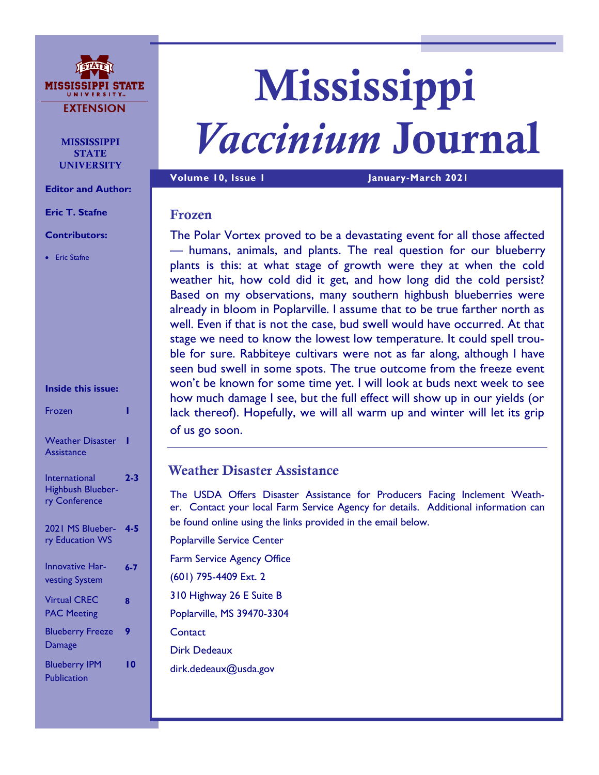

**MISSISSIPPI STATE** UNIVERSITY

**Editor and Author:**

**Eric T. Stafne**

### **Contributors:**

• Eric Stafne

| Inside this issue: |  |
|--------------------|--|

| Frozen                                              |         |
|-----------------------------------------------------|---------|
| <b>Weather Disaster</b><br><b>Assistance</b>        |         |
| International<br>Highbush Blueber-<br>ry Conference | $2 - 3$ |
| 2021 MS Blueber-<br>ry Education WS                 | 4-5     |
| <b>Innovative Har-</b><br>vesting System            | $6 - 7$ |
| <b>Virtual CREC</b><br><b>PAC Meeting</b>           | 8       |
| <b>Blueberry Freeze</b><br>Damage                   | 9       |
| <b>Blueberry IPM</b><br>Publication                 | I 0     |

# Mississippi *Vaccinium* Journal

**Volume 10, Issue 1 January-March 2021**

# Frozen

The Polar Vortex proved to be a devastating event for all those affected — humans, animals, and plants. The real question for our blueberry plants is this: at what stage of growth were they at when the cold weather hit, how cold did it get, and how long did the cold persist? Based on my observations, many southern highbush blueberries were already in bloom in Poplarville. I assume that to be true farther north as well. Even if that is not the case, bud swell would have occurred. At that stage we need to know the lowest low temperature. It could spell trouble for sure. Rabbiteye cultivars were not as far along, although I have seen bud swell in some spots. The true outcome from the freeze event won't be known for some time yet. I will look at buds next week to see how much damage I see, but the full effect will show up in our yields (or lack thereof). Hopefully, we will all warm up and winter will let its grip of us go soon.

# Weather Disaster Assistance

The USDA Offers Disaster Assistance for Producers Facing Inclement Weather. Contact your local Farm Service Agency for details. Additional information can be found online using the links provided in the email below.

Poplarville Service Center Farm Service Agency Office (601) 795-4409 Ext. 2 310 Highway 26 E Suite B Poplarville, MS 39470-3304 **Contact** Dirk Dedeaux

dirk.dedeaux@usda.gov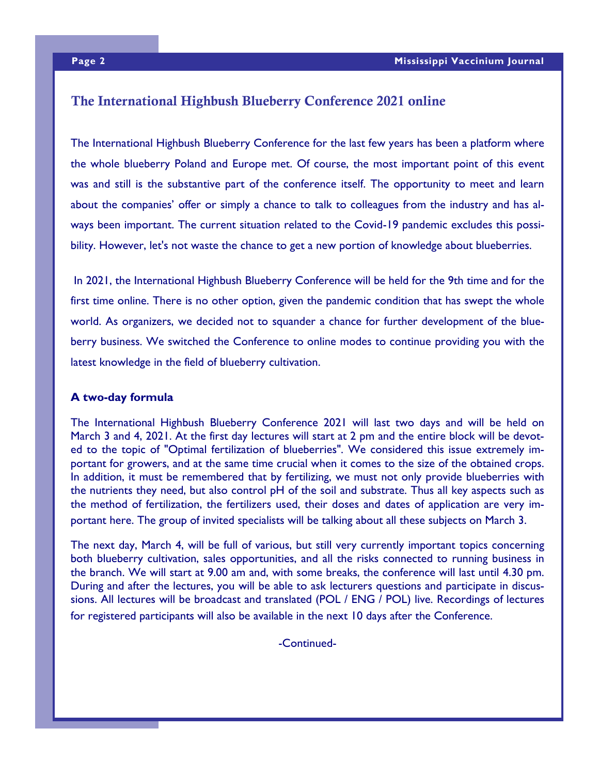# The International Highbush Blueberry Conference 2021 online

The International Highbush Blueberry Conference for the last few years has been a platform where the whole blueberry Poland and Europe met. Of course, the most important point of this event was and still is the substantive part of the conference itself. The opportunity to meet and learn about the companies' offer or simply a chance to talk to colleagues from the industry and has always been important. The current situation related to the Covid-19 pandemic excludes this possibility. However, let's not waste the chance to get a new portion of knowledge about blueberries.

In 2021, the International Highbush Blueberry Conference will be held for the 9th time and for the first time online. There is no other option, given the pandemic condition that has swept the whole world. As organizers, we decided not to squander a chance for further development of the blueberry business. We switched the Conference to online modes to continue providing you with the latest knowledge in the field of blueberry cultivation.

### **A two-day formula**

The International Highbush Blueberry Conference 2021 will last two days and will be held on March 3 and 4, 2021. At the first day lectures will start at 2 pm and the entire block will be devoted to the topic of "Optimal fertilization of blueberries". We considered this issue extremely important for growers, and at the same time crucial when it comes to the size of the obtained crops. In addition, it must be remembered that by fertilizing, we must not only provide blueberries with the nutrients they need, but also control pH of the soil and substrate. Thus all key aspects such as the method of fertilization, the fertilizers used, their doses and dates of application are very important here. The group of invited specialists will be talking about all these subjects on March 3.

The next day, March 4, will be full of various, but still very currently important topics concerning both blueberry cultivation, sales opportunities, and all the risks connected to running business in the branch. We will start at 9.00 am and, with some breaks, the conference will last until 4.30 pm. During and after the lectures, you will be able to ask lecturers questions and participate in discussions. All lectures will be broadcast and translated (POL / ENG / POL) live. Recordings of lectures for registered participants will also be available in the next 10 days after the Conference.

-Continued-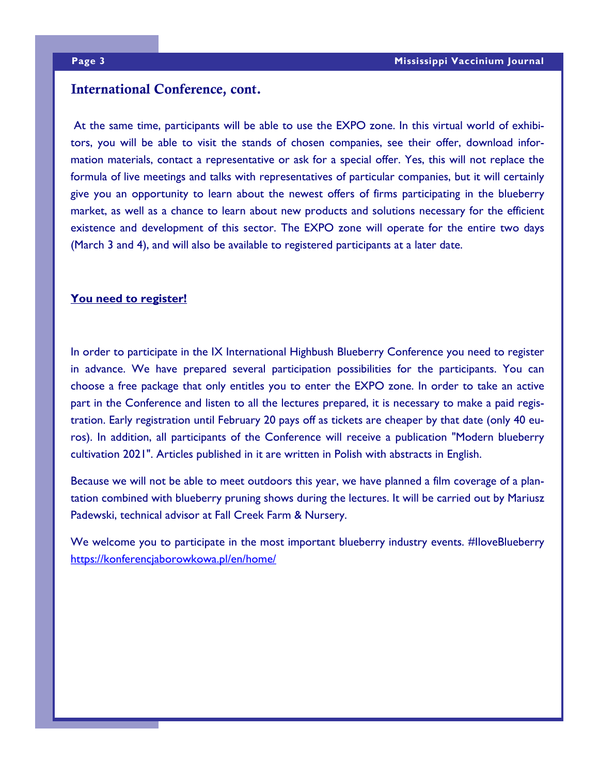# International Conference, cont.

At the same time, participants will be able to use the EXPO zone. In this virtual world of exhibitors, you will be able to visit the stands of chosen companies, see their offer, download information materials, contact a representative or ask for a special offer. Yes, this will not replace the formula of live meetings and talks with representatives of particular companies, but it will certainly give you an opportunity to learn about the newest offers of firms participating in the blueberry market, as well as a chance to learn about new products and solutions necessary for the efficient existence and development of this sector. The EXPO zone will operate for the entire two days (March 3 and 4), and will also be available to registered participants at a later date.

## **You need to register!**

In order to participate in the IX International Highbush Blueberry Conference you need to register in advance. We have prepared several participation possibilities for the participants. You can choose a free package that only entitles you to enter the EXPO zone. In order to take an active part in the Conference and listen to all the lectures prepared, it is necessary to make a paid registration. Early registration until February 20 pays off as tickets are cheaper by that date (only 40 euros). In addition, all participants of the Conference will receive a publication "Modern blueberry cultivation 2021". Articles published in it are written in Polish with abstracts in English.

Because we will not be able to meet outdoors this year, we have planned a film coverage of a plantation combined with blueberry pruning shows during the lectures. It will be carried out by Mariusz Padewski, technical advisor at Fall Creek Farm & Nursery.

We welcome you to participate in the most important blueberry industry events. #IloveBlueberry <https://konferencjaborowkowa.pl/en/home/>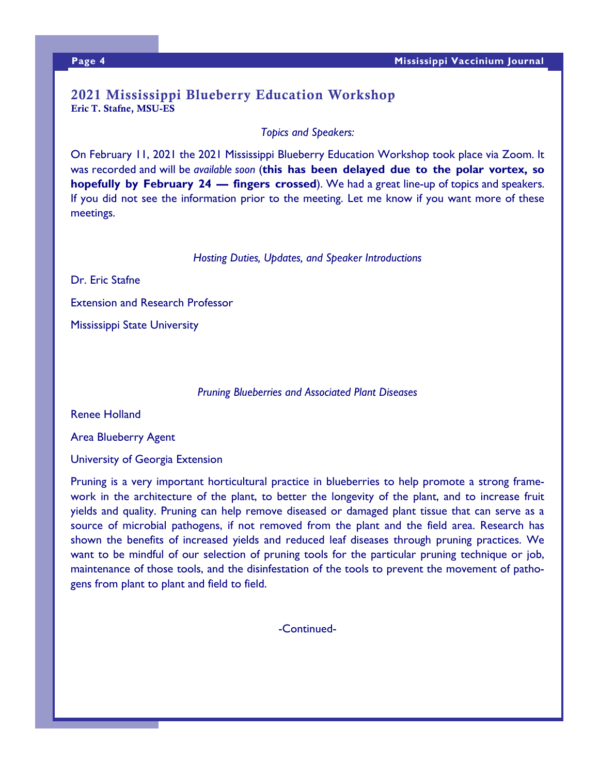# 2021 Mississippi Blueberry Education Workshop Eric T. Stafne, MSU-ES

*Topics and Speakers:*

On February 11, 2021 the 2021 Mississippi Blueberry Education Workshop took place via Zoom. It was recorded and will be *available soon* (**this has been delayed due to the polar vortex, so hopefully by February 24 — fingers crossed**). We had a great line-up of topics and speakers. If you did not see the information prior to the meeting. Let me know if you want more of these meetings.

*Hosting Duties, Updates, and Speaker Introductions*

Dr. Eric Stafne Extension and Research Professor Mississippi State University

*Pruning Blueberries and Associated Plant Diseases*

Renee Holland

Area Blueberry Agent

University of Georgia Extension

Pruning is a very important horticultural practice in blueberries to help promote a strong framework in the architecture of the plant, to better the longevity of the plant, and to increase fruit yields and quality. Pruning can help remove diseased or damaged plant tissue that can serve as a source of microbial pathogens, if not removed from the plant and the field area. Research has shown the benefits of increased yields and reduced leaf diseases through pruning practices. We want to be mindful of our selection of pruning tools for the particular pruning technique or job, maintenance of those tools, and the disinfestation of the tools to prevent the movement of pathogens from plant to plant and field to field.

-Continued-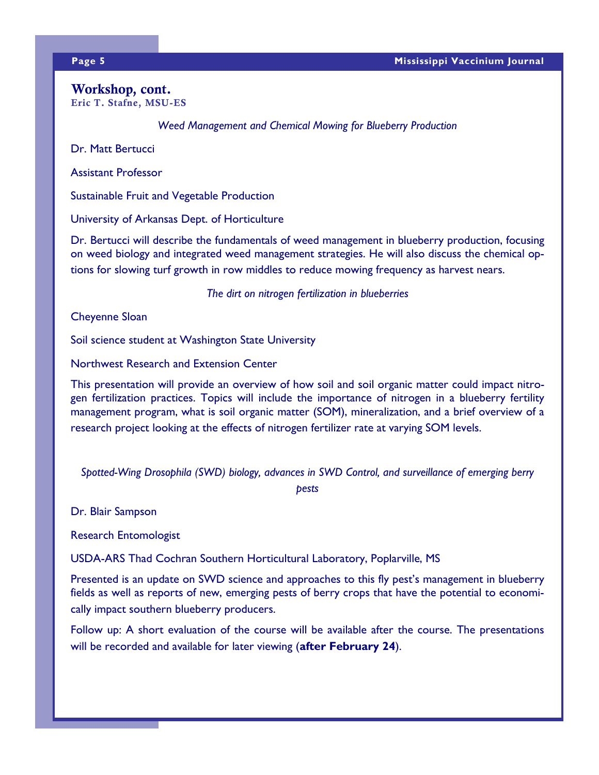### Workshop, cont. Eric T. Stafne, MSU-ES

*Weed Management and Chemical Mowing for Blueberry Production*

Dr. Matt Bertucci

Assistant Professor

Sustainable Fruit and Vegetable Production

University of Arkansas Dept. of Horticulture

Dr. Bertucci will describe the fundamentals of weed management in blueberry production, focusing on weed biology and integrated weed management strategies. He will also discuss the chemical options for slowing turf growth in row middles to reduce mowing frequency as harvest nears.

*The dirt on nitrogen fertilization in blueberries*

Cheyenne Sloan

Soil science student at Washington State University

Northwest Research and Extension Center

This presentation will provide an overview of how soil and soil organic matter could impact nitrogen fertilization practices. Topics will include the importance of nitrogen in a blueberry fertility management program, what is soil organic matter (SOM), mineralization, and a brief overview of a research project looking at the effects of nitrogen fertilizer rate at varying SOM levels.

*Spotted-Wing Drosophila (SWD) biology, advances in SWD Control, and surveillance of emerging berry* 

*pests*

Dr. Blair Sampson

Research Entomologist

USDA-ARS Thad Cochran Southern Horticultural Laboratory, Poplarville, MS

Presented is an update on SWD science and approaches to this fly pest's management in blueberry fields as well as reports of new, emerging pests of berry crops that have the potential to economically impact southern blueberry producers.

Follow up: A short evaluation of the course will be available after the course. The presentations will be recorded and available for later viewing (**after February 24**).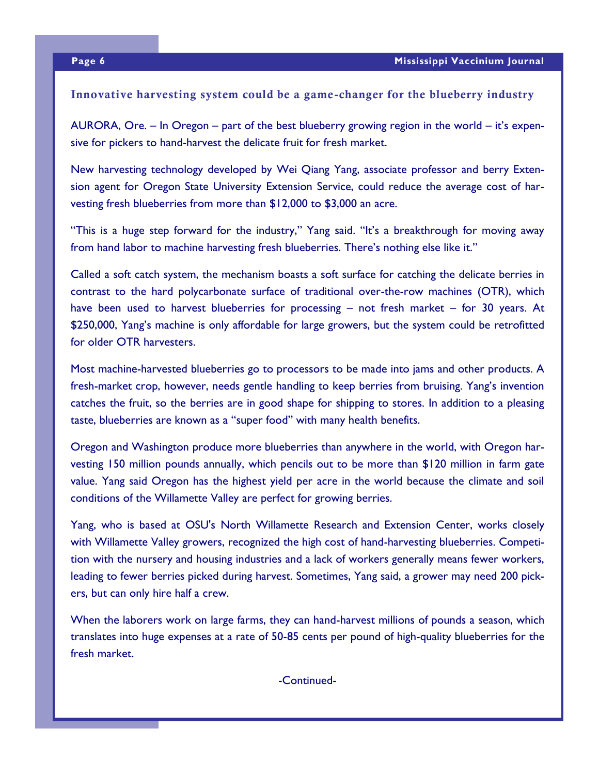## Innovative harvesting system could be a game-changer for the blueberry industry

AURORA, Ore. – In Oregon – part of the best blueberry growing region in the world – it's expensive for pickers to hand-harvest the delicate fruit for fresh market.

New harvesting technology developed by Wei Qiang Yang, associate professor and berry Extension agent for Oregon State University Extension Service, could reduce the average cost of harvesting fresh blueberries from more than \$12,000 to \$3,000 an acre.

"This is a huge step forward for the industry," Yang said. "It's a breakthrough for moving away from hand labor to machine harvesting fresh blueberries. There's nothing else like it."

Called a soft catch system, the mechanism boasts a soft surface for catching the delicate berries in contrast to the hard polycarbonate surface of traditional over-the-row machines (OTR), which have been used to harvest blueberries for processing – not fresh market – for 30 years. At \$250,000, Yang's machine is only affordable for large growers, but the system could be retrofitted for older OTR harvesters.

Most machine-harvested blueberries go to processors to be made into jams and other products. A fresh-market crop, however, needs gentle handling to keep berries from bruising. Yang's invention catches the fruit, so the berries are in good shape for shipping to stores. In addition to a pleasing taste, blueberries are known as a "super food" with many health benefits.

Oregon and Washington produce more blueberries than anywhere in the world, with Oregon harvesting 150 million pounds annually, which pencils out to be more than \$120 million in farm gate value. Yang said Oregon has the highest yield per acre in the world because the climate and soil conditions of the Willamette Valley are perfect for growing berries.

Yang, who is based at OSU's North Willamette Research and Extension Center, works closely with Willamette Valley growers, recognized the high cost of hand-harvesting blueberries. Competition with the nursery and housing industries and a lack of workers generally means fewer workers, leading to fewer berries picked during harvest. Sometimes, Yang said, a grower may need 200 pickers, but can only hire half a crew.

When the laborers work on large farms, they can hand-harvest millions of pounds a season, which translates into huge expenses at a rate of 50-85 cents per pound of high-quality blueberries for the fresh market.

-Continued-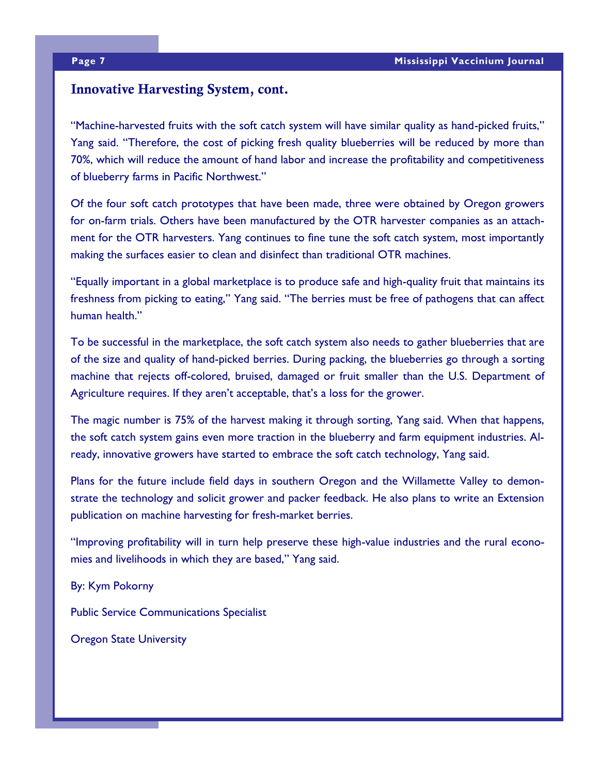# Innovative Harvesting System, cont.

"Machine-harvested fruits with the soft catch system will have similar quality as hand-picked fruits," Yang said. "Therefore, the cost of picking fresh quality blueberries will be reduced by more than 70%, which will reduce the amount of hand labor and increase the profitability and competitiveness of blueberry farms in Pacific Northwest."

Of the four soft catch prototypes that have been made, three were obtained by Oregon growers for on-farm trials. Others have been manufactured by the OTR harvester companies as an attachment for the OTR harvesters. Yang continues to fine tune the soft catch system, most importantly making the surfaces easier to clean and disinfect than traditional OTR machines.

"Equally important in a global marketplace is to produce safe and high-quality fruit that maintains its freshness from picking to eating," Yang said. "The berries must be free of pathogens that can affect human health."

To be successful in the marketplace, the soft catch system also needs to gather blueberries that are of the size and quality of hand-picked berries. During packing, the blueberries go through a sorting machine that rejects off-colored, bruised, damaged or fruit smaller than the U.S. Department of Agriculture requires. If they aren't acceptable, that's a loss for the grower.

The magic number is 75% of the harvest making it through sorting, Yang said. When that happens, the soft catch system gains even more traction in the blueberry and farm equipment industries. Already, innovative growers have started to embrace the soft catch technology, Yang said.

Plans for the future include field days in southern Oregon and the Willamette Valley to demonstrate the technology and solicit grower and packer feedback. He also plans to write an Extension publication on machine harvesting for fresh-market berries.

"Improving profitability will in turn help preserve these high-value industries and the rural economies and livelihoods in which they are based," Yang said.

By: Kym Pokorny

Public Service Communications Specialist

Oregon State University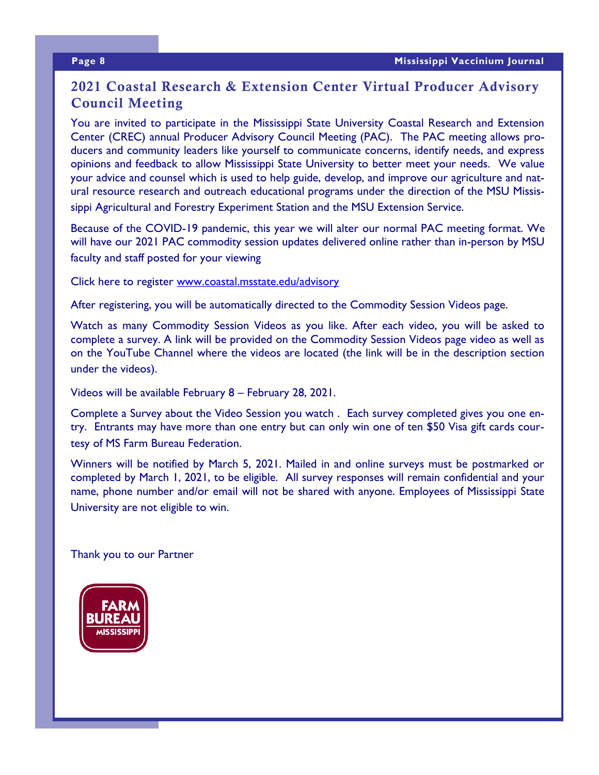# 2021 Coastal Research & Extension Center Virtual Producer Advisory Council Meeting

You are invited to participate in the Mississippi State University Coastal Research and Extension Center (CREC) annual Producer Advisory Council Meeting (PAC). The PAC meeting allows producers and community leaders like yourself to communicate concerns, identify needs, and express opinions and feedback to allow Mississippi State University to better meet your needs. We value your advice and counsel which is used to help guide, develop, and improve our agriculture and natural resource research and outreach educational programs under the direction of the MSU Mississippi Agricultural and Forestry Experiment Station and the MSU Extension Service.

Because of the COVID-19 pandemic, this year we will alter our normal PAC meeting format. We will have our 2021 PAC commodity session updates delivered online rather than in-person by MSU faculty and staff posted for your viewing

Click here to register [www.coastal.msstate.edu/advisory](http://www.coastal.msstate.edu/advisory) 

After registering, you will be automatically directed to the Commodity Session Videos page.

Watch as many Commodity Session Videos as you like. After each video, you will be asked to complete a survey. A link will be provided on the Commodity Session Videos page video as well as on the YouTube Channel where the videos are located (the link will be in the description section under the videos).

Videos will be available February 8 – February 28, 2021.

Complete a Survey about the Video Session you watch . Each survey completed gives you one entry. Entrants may have more than one entry but can only win one of ten \$50 Visa gift cards courtesy of MS Farm Bureau Federation.

Winners will be notified by March 5, 2021. Mailed in and online surveys must be postmarked or completed by March 1, 2021, to be eligible. All survey responses will remain confidential and your name, phone number and/or email will not be shared with anyone. Employees of Mississippi State University are not eligible to win.

Thank you to our Partner

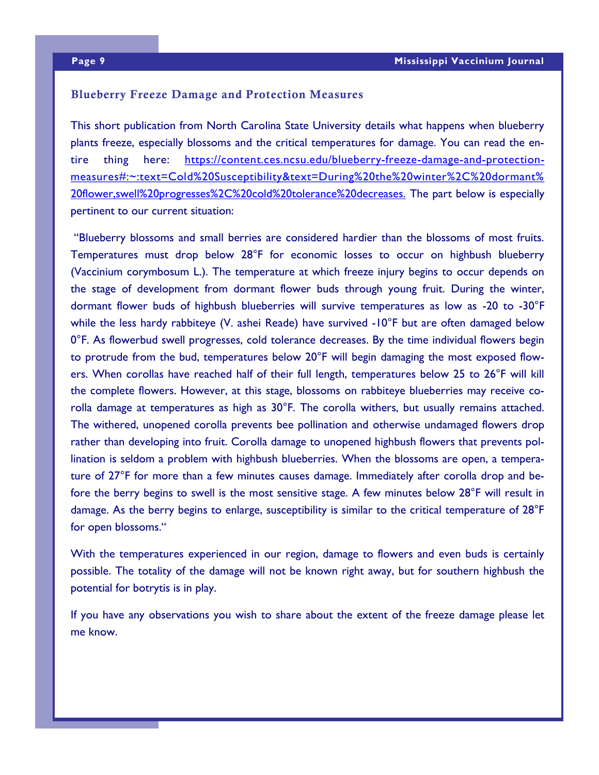### Blueberry Freeze Damage and Protection Measures

This short publication from North Carolina State University details what happens when blueberry plants freeze, especially blossoms and the critical temperatures for damage. You can read the entire thing here: [https://content.ces.ncsu.edu/blueberry-freeze-damage-and-protection](https://content.ces.ncsu.edu/blueberry-freeze-damage-and-protection-measures#:~:text=Cold%20Susceptibility&text=During%20the%20winter%2C%20dormant%20flower,swell%20progresses%2C%20cold%20tolerance%20decreases.)[measures#:~:text=Cold%20Susceptibility&text=During%20the%20winter%2C%20dormant%](https://content.ces.ncsu.edu/blueberry-freeze-damage-and-protection-measures#:~:text=Cold%20Susceptibility&text=During%20the%20winter%2C%20dormant%20flower,swell%20progresses%2C%20cold%20tolerance%20decreases.) [20flower,swell%20progresses%2C%20cold%20tolerance%20decreases.](https://content.ces.ncsu.edu/blueberry-freeze-damage-and-protection-measures#:~:text=Cold%20Susceptibility&text=During%20the%20winter%2C%20dormant%20flower,swell%20progresses%2C%20cold%20tolerance%20decreases.) The part below is especially pertinent to our current situation:

"Blueberry blossoms and small berries are considered hardier than the blossoms of most fruits. Temperatures must drop below 28°F for economic losses to occur on highbush blueberry (Vaccinium corymbosum L.). The temperature at which freeze injury begins to occur depends on the stage of development from dormant flower buds through young fruit. During the winter, dormant flower buds of highbush blueberries will survive temperatures as low as -20 to -30°F while the less hardy rabbiteye (V. ashei Reade) have survived -10°F but are often damaged below 0°F. As flowerbud swell progresses, cold tolerance decreases. By the time individual flowers begin to protrude from the bud, temperatures below 20°F will begin damaging the most exposed flowers. When corollas have reached half of their full length, temperatures below 25 to 26°F will kill the complete flowers. However, at this stage, blossoms on rabbiteye blueberries may receive corolla damage at temperatures as high as 30°F. The corolla withers, but usually remains attached. The withered, unopened corolla prevents bee pollination and otherwise undamaged flowers drop rather than developing into fruit. Corolla damage to unopened highbush flowers that prevents pollination is seldom a problem with highbush blueberries. When the blossoms are open, a temperature of 27°F for more than a few minutes causes damage. Immediately after corolla drop and before the berry begins to swell is the most sensitive stage. A few minutes below 28°F will result in damage. As the berry begins to enlarge, susceptibility is similar to the critical temperature of 28°F for open blossoms."

With the temperatures experienced in our region, damage to flowers and even buds is certainly possible. The totality of the damage will not be known right away, but for southern highbush the potential for botrytis is in play.

If you have any observations you wish to share about the extent of the freeze damage please let me know.